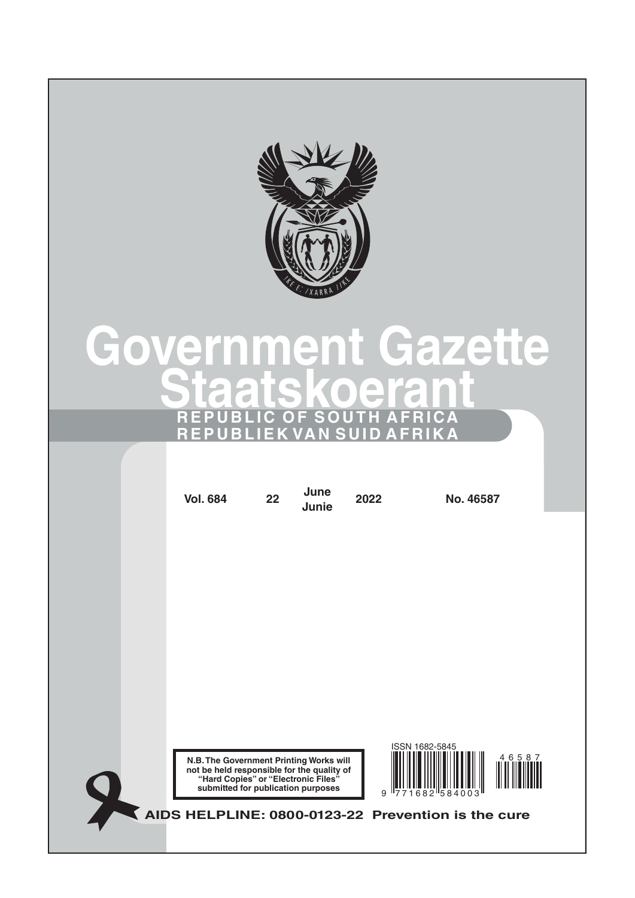

# **Government Gazette Staatskoerant REPUBLIC OF SOUTH AFRICA REPUBLIEK VAN SUID AFRIKA**

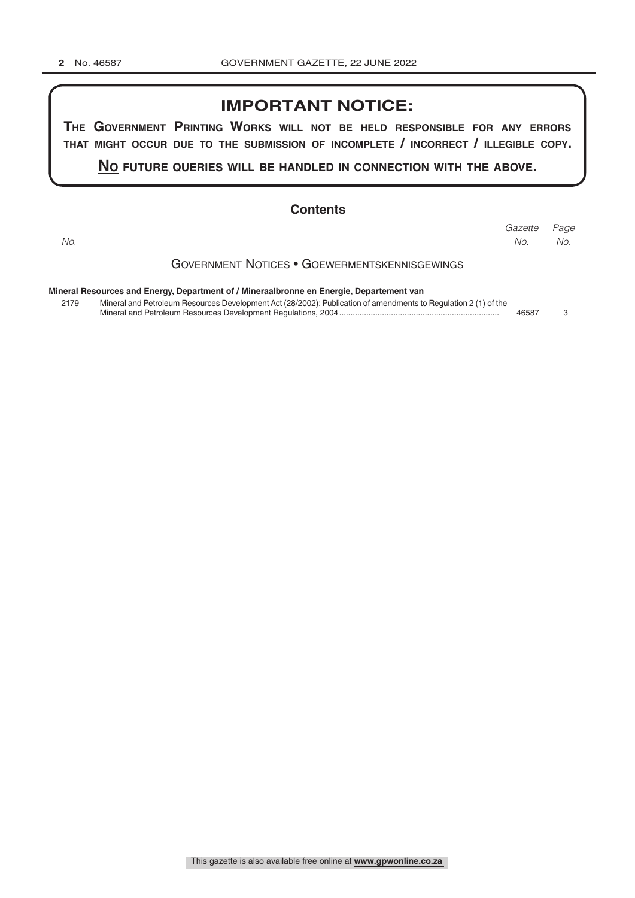### **IMPORTANT NOTICE:**

**The GovernmenT PrinTinG Works Will noT be held resPonsible for any errors ThaT miGhT occur due To The submission of incomPleTe / incorrecT / illeGible coPy.**

**no fuTure queries Will be handled in connecTion WiTh The above.**

#### **Contents**

Government Notices • Goewermentskennisgewings **Mineral Resources and Energy, Department of / Mineraalbronne en Energie, Departement van** *Page Gazette No. No. No.*

| 2179 | Mineral and Petroleum Resources Development Act (28/2002): Publication of amendments to Regulation 2 (1) of the |       |  |
|------|-----------------------------------------------------------------------------------------------------------------|-------|--|
|      | Mineral and Petroleum Resources Development Regulations, 2004                                                   | 46587 |  |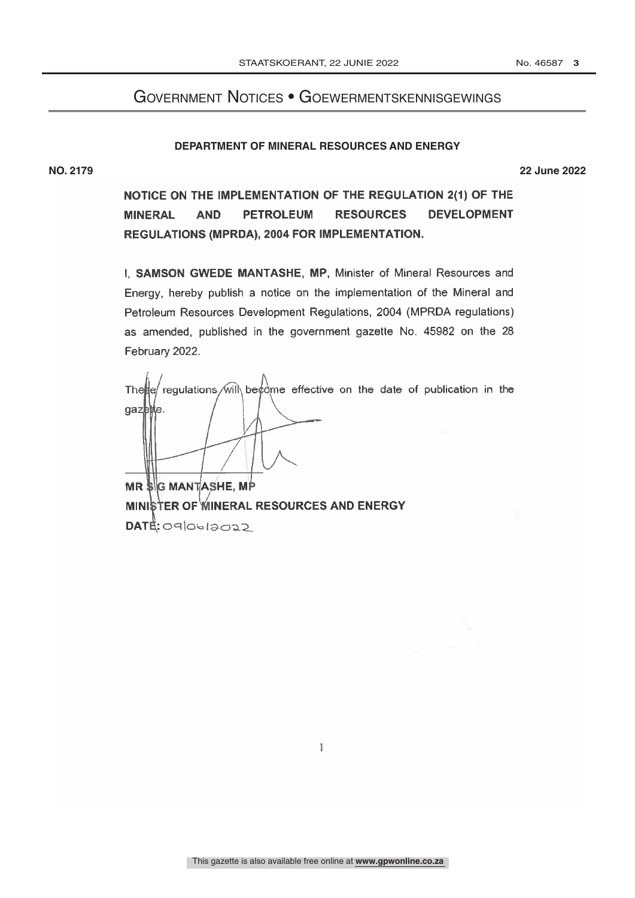## Government Notices • Goewermentskennisgewings

#### **DEPARTMENT OF MINERAL RESOURCES AND ENERGY**

**NO. 2179 22 June 2022**

NOTICE ON THE IMPLEMENTATION OF THE REGULATION 2(1) OF THE **MINERAL AND PETROLEUM RESOURCES DEVELOPMENT** REGULATIONS (MPRDA), 2004 FOR IMPLEMENTATION.

I, SAMSON GWEDE MANTASHE, MP, Minister of Mineral Resources and Energy, hereby publish a notice on the implementation of the Mineral and Petroleum Resources Development Regulations, 2004 (MPRDA regulations) as amended, published in the government gazette No. 45982 on the 28 February 2022.

regulations will be  $\phi$  me effective on the date of publication in the The He gazette.

**MR SG MANTASHE, MP** MINISTER OF WINERAL RESOURCES AND ENERGY DATE: 090612022